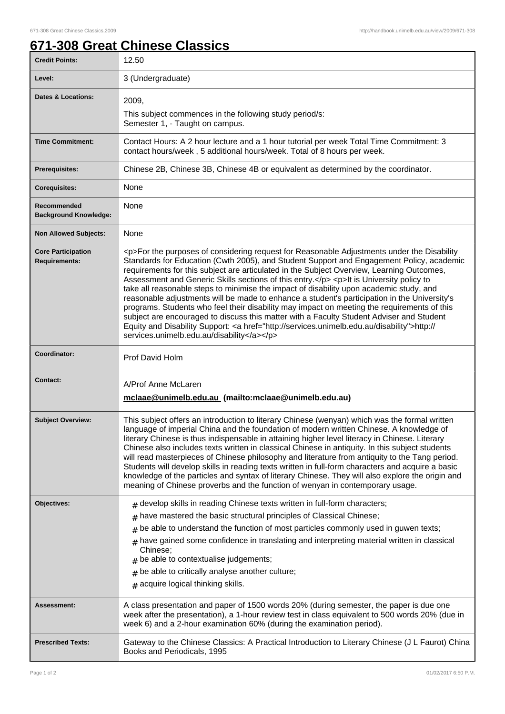## **671-308 Great Chinese Classics**

| <b>Credit Points:</b>                             | 12.50                                                                                                                                                                                                                                                                                                                                                                                                                                                                                                                                                                                                                                                                                                                                                                                                                                                                                                                        |
|---------------------------------------------------|------------------------------------------------------------------------------------------------------------------------------------------------------------------------------------------------------------------------------------------------------------------------------------------------------------------------------------------------------------------------------------------------------------------------------------------------------------------------------------------------------------------------------------------------------------------------------------------------------------------------------------------------------------------------------------------------------------------------------------------------------------------------------------------------------------------------------------------------------------------------------------------------------------------------------|
| Level:                                            | 3 (Undergraduate)                                                                                                                                                                                                                                                                                                                                                                                                                                                                                                                                                                                                                                                                                                                                                                                                                                                                                                            |
| <b>Dates &amp; Locations:</b>                     | 2009.<br>This subject commences in the following study period/s:<br>Semester 1, - Taught on campus.                                                                                                                                                                                                                                                                                                                                                                                                                                                                                                                                                                                                                                                                                                                                                                                                                          |
| <b>Time Commitment:</b>                           | Contact Hours: A 2 hour lecture and a 1 hour tutorial per week Total Time Commitment: 3<br>contact hours/week, 5 additional hours/week. Total of 8 hours per week.                                                                                                                                                                                                                                                                                                                                                                                                                                                                                                                                                                                                                                                                                                                                                           |
| <b>Prerequisites:</b>                             | Chinese 2B, Chinese 3B, Chinese 4B or equivalent as determined by the coordinator.                                                                                                                                                                                                                                                                                                                                                                                                                                                                                                                                                                                                                                                                                                                                                                                                                                           |
| <b>Corequisites:</b>                              | None                                                                                                                                                                                                                                                                                                                                                                                                                                                                                                                                                                                                                                                                                                                                                                                                                                                                                                                         |
| Recommended<br><b>Background Knowledge:</b>       | None                                                                                                                                                                                                                                                                                                                                                                                                                                                                                                                                                                                                                                                                                                                                                                                                                                                                                                                         |
| <b>Non Allowed Subjects:</b>                      | None                                                                                                                                                                                                                                                                                                                                                                                                                                                                                                                                                                                                                                                                                                                                                                                                                                                                                                                         |
| <b>Core Participation</b><br><b>Requirements:</b> | <p>For the purposes of considering request for Reasonable Adjustments under the Disability<br/>Standards for Education (Cwth 2005), and Student Support and Engagement Policy, academic<br/>requirements for this subject are articulated in the Subject Overview, Learning Outcomes,<br/>Assessment and Generic Skills sections of this entry.</p> <p>lt is University policy to<br/>take all reasonable steps to minimise the impact of disability upon academic study, and<br/>reasonable adjustments will be made to enhance a student's participation in the University's<br/>programs. Students who feel their disability may impact on meeting the requirements of this<br/>subject are encouraged to discuss this matter with a Faculty Student Adviser and Student<br/>Equity and Disability Support: &lt; a href="http://services.unimelb.edu.au/disability"&gt;http://<br/>services.unimelb.edu.au/disability</p> |
| Coordinator:                                      | Prof David Holm                                                                                                                                                                                                                                                                                                                                                                                                                                                                                                                                                                                                                                                                                                                                                                                                                                                                                                              |
| <b>Contact:</b>                                   | A/Prof Anne McLaren<br>mclaae@unimelb.edu.au (mailto:mclaae@unimelb.edu.au)                                                                                                                                                                                                                                                                                                                                                                                                                                                                                                                                                                                                                                                                                                                                                                                                                                                  |
| <b>Subject Overview:</b>                          | This subject offers an introduction to literary Chinese (wenyan) which was the formal written<br>language of imperial China and the foundation of modern written Chinese. A knowledge of<br>literary Chinese is thus indispensable in attaining higher level literacy in Chinese. Literary<br>Chinese also includes texts written in classical Chinese in antiquity. In this subject students<br>will read masterpieces of Chinese philosophy and literature from antiquity to the Tang period.<br>Students will develop skills in reading texts written in full-form characters and acquire a basic<br>knowledge of the particles and syntax of literary Chinese. They will also explore the origin and<br>meaning of Chinese proverbs and the function of wenyan in contemporary usage.                                                                                                                                    |
| Objectives:                                       | $*$ develop skills in reading Chinese texts written in full-form characters;<br>have mastered the basic structural principles of Classical Chinese;<br>#<br>be able to understand the function of most particles commonly used in guwen texts;<br>#<br>have gained some confidence in translating and interpreting material written in classical<br>#<br>Chinese;<br>be able to contextualise judgements;<br>be able to critically analyse another culture;<br>#<br>acquire logical thinking skills.<br>#                                                                                                                                                                                                                                                                                                                                                                                                                    |
| <b>Assessment:</b>                                | A class presentation and paper of 1500 words 20% (during semester, the paper is due one<br>week after the presentation), a 1-hour review test in class equivalent to 500 words 20% (due in<br>week 6) and a 2-hour examination 60% (during the examination period).                                                                                                                                                                                                                                                                                                                                                                                                                                                                                                                                                                                                                                                          |
| <b>Prescribed Texts:</b>                          | Gateway to the Chinese Classics: A Practical Introduction to Literary Chinese (J L Faurot) China<br>Books and Periodicals, 1995                                                                                                                                                                                                                                                                                                                                                                                                                                                                                                                                                                                                                                                                                                                                                                                              |